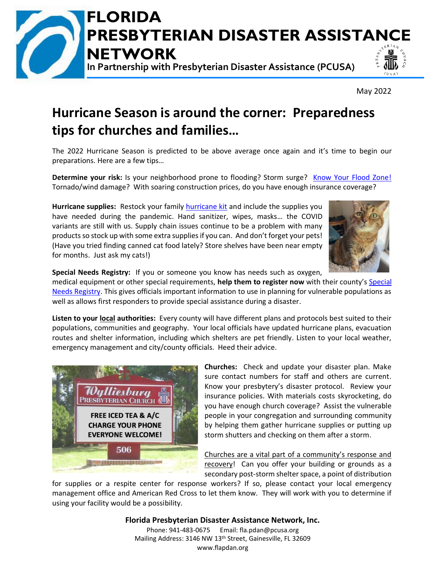

May 2022

## **Hurricane Season is around the corner: Preparedness tips for churches and families…**

The 2022 Hurricane Season is predicted to be above average once again and it's time to begin our preparations. Here are a few tips…

**Determine your risk:** Is your neighborhood prone to flooding? Storm surge? [Know Your Flood Zone!](https://www.floridadisaster.org/knowyourzone/) Tornado/wind damage? With soaring construction prices, do you have enough insurance coverage?

Hurricane supplies: Restock your family **[hurricane kit](https://www.ready.gov/kit)** and include the supplies you have needed during the pandemic. Hand sanitizer, wipes, masks… the COVID variants are still with us. Supply chain issues continue to be a problem with many products so stock up with some extra supplies if you can. And don't forget your pets! (Have you tried finding canned cat food lately? Store shelves have been near empty for months. Just ask my cats!)



**Special Needs Registry:** If you or someone you know has needs such as oxygen,

medical equipment or other special requirements, **help them to register now** with their county's [Special](https://www.floridadisaster.org/snr/)  [Needs Registry.](https://www.floridadisaster.org/snr/) This gives officials important information to use in planning for vulnerable populations as well as allows first responders to provide special assistance during a disaster.

**Listen to your local authorities:** Every county will have different plans and protocols best suited to their populations, communities and geography. Your local officials have updated hurricane plans, evacuation routes and shelter information, including which shelters are pet friendly. Listen to your local weather, emergency management and city/county officials. Heed their advice.



**Churches:** Check and update your disaster plan. Make sure contact numbers for staff and others are current. Know your presbytery's disaster protocol. Review your insurance policies. With materials costs skyrocketing, do you have enough church coverage? Assist the vulnerable people in your congregation and surrounding community by helping them gather hurricane supplies or putting up storm shutters and checking on them after a storm.

Churches are a vital part of a community's response and recovery! Can you offer your building or grounds as a secondary post-storm shelter space, a point of distribution

for supplies or a respite center for response workers? If so, please contact your local emergency management office and American Red Cross to let them know. They will work with you to determine if using your facility would be a possibility.

> **Florida Presbyterian Disaster Assistance Network, Inc.** Phone: 941-483-0675 Email: fla.pdan@pcusa.org Mailing Address: 3146 NW 13th Street, Gainesville, FL 32609 www.flapdan.org